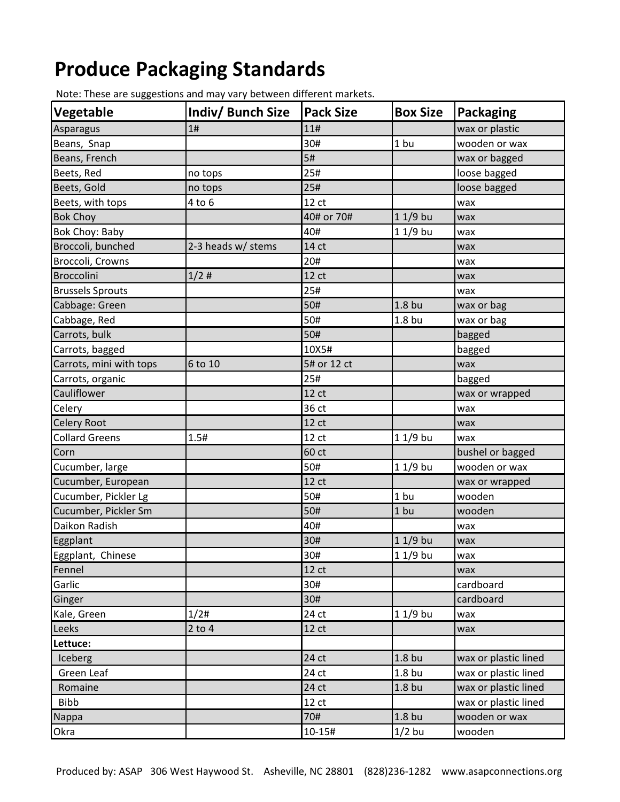## **Produce Packaging Standards**

| Vegetable               | Indiv/ Bunch Size  | <b>Pack Size</b> | <b>Box Size</b>   | Packaging            |
|-------------------------|--------------------|------------------|-------------------|----------------------|
| Asparagus               | 1#                 | 11#              |                   | wax or plastic       |
| Beans, Snap             |                    | 30#              | 1 bu              | wooden or wax        |
| Beans, French           |                    | 5#               |                   | wax or bagged        |
| Beets, Red              | no tops            | 25#              |                   | loose bagged         |
| Beets, Gold             | no tops            | 25#              |                   | loose bagged         |
| Beets, with tops        | 4 to 6             | 12 ct            |                   | wax                  |
| <b>Bok Choy</b>         |                    | 40# or 70#       | $11/9$ bu         | wax                  |
| Bok Choy: Baby          |                    | 40#              | $11/9$ bu         | wax                  |
| Broccoli, bunched       | 2-3 heads w/ stems | 14 ct            |                   | wax                  |
| Broccoli, Crowns        |                    | 20#              |                   | wax                  |
| Broccolini              | 1/2#               | 12 <sub>ct</sub> |                   | wax                  |
| <b>Brussels Sprouts</b> |                    | 25#              |                   | wax                  |
| Cabbage: Green          |                    | 50#              | 1.8 <sub>bu</sub> | wax or bag           |
| Cabbage, Red            |                    | 50#              | 1.8 <sub>bu</sub> | wax or bag           |
| Carrots, bulk           |                    | 50#              |                   | bagged               |
| Carrots, bagged         |                    | 10X5#            |                   | bagged               |
| Carrots, mini with tops | 6 to 10            | 5# or 12 ct      |                   | wax                  |
| Carrots, organic        |                    | 25#              |                   | bagged               |
| Cauliflower             |                    | 12 ct            |                   | wax or wrapped       |
| Celery                  |                    | 36 ct            |                   | wax                  |
| <b>Celery Root</b>      |                    | 12 ct            |                   | wax                  |
| <b>Collard Greens</b>   | 1.5#               | 12 ct            | $11/9$ bu         | wax                  |
| Corn                    |                    | 60 ct            |                   | bushel or bagged     |
| Cucumber, large         |                    | 50#              | $11/9$ bu         | wooden or wax        |
| Cucumber, European      |                    | 12 ct            |                   | wax or wrapped       |
| Cucumber, Pickler Lg    |                    | 50#              | 1 bu              | wooden               |
| Cucumber, Pickler Sm    |                    | 50#              | 1 bu              | wooden               |
| Daikon Radish           |                    | 40#              |                   | wax                  |
| Eggplant                |                    | 30#              | $11/9$ bu         | wax                  |
| Eggplant, Chinese       |                    | 30#              | 1 1/9 bu          | wax                  |
| Fennel                  |                    | 12 ct            |                   | wax                  |
| Garlic                  |                    | 30#              |                   | cardboard            |
| Ginger                  |                    | 30#              |                   | cardboard            |
| Kale, Green             | 1/2#               | 24 ct            | $11/9$ bu         | wax                  |
| Leeks                   | $2$ to $4$         | 12 ct            |                   | wax                  |
| Lettuce:                |                    |                  |                   |                      |
| Iceberg                 |                    | 24 ct            | 1.8 <sub>bu</sub> | wax or plastic lined |
| Green Leaf              |                    | 24 ct            | 1.8 <sub>bu</sub> | wax or plastic lined |
| Romaine                 |                    | 24 ct            | 1.8 bu            | wax or plastic lined |
| <b>Bibb</b>             |                    | 12 ct            |                   | wax or plastic lined |
| Nappa                   |                    | 70#              | 1.8 <sub>bu</sub> | wooden or wax        |
| Okra                    |                    | $10 - 15#$       | $1/2$ bu          | wooden               |

Note: These are suggestions and may vary between different markets.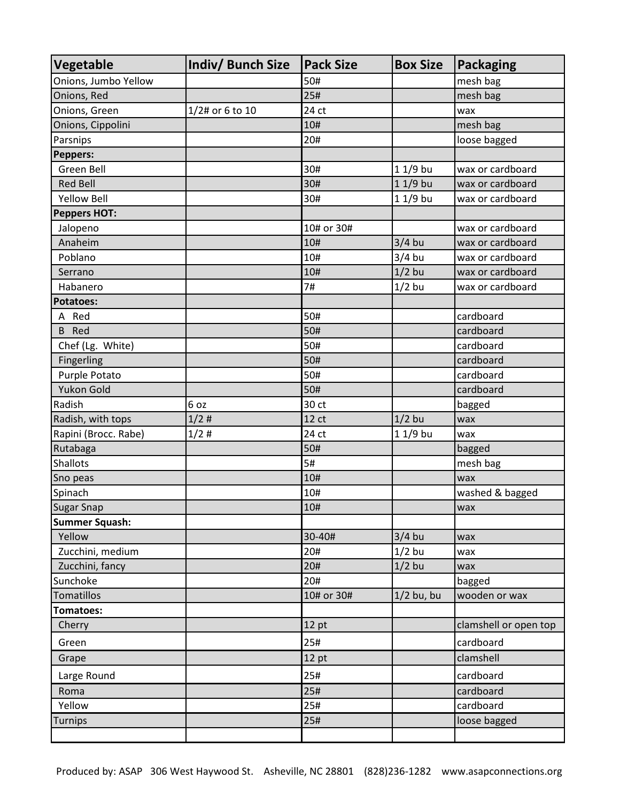| <b>Vegetable</b>      | Indiv/ Bunch Size | <b>Pack Size</b> | <b>Box Size</b> | <b>Packaging</b>      |
|-----------------------|-------------------|------------------|-----------------|-----------------------|
| Onions, Jumbo Yellow  |                   | 50#              |                 | mesh bag              |
| Onions, Red           |                   | 25#              |                 | mesh bag              |
| Onions, Green         | 1/2# or 6 to 10   | 24 ct            |                 | wax                   |
| Onions, Cippolini     |                   | 10#              |                 | mesh bag              |
| Parsnips              |                   | 20#              |                 | loose bagged          |
| <b>Peppers:</b>       |                   |                  |                 |                       |
| Green Bell            |                   | 30#              | 1 1/9 bu        | wax or cardboard      |
| <b>Red Bell</b>       |                   | 30#              | $11/9$ bu       | wax or cardboard      |
| <b>Yellow Bell</b>    |                   | 30#              | $11/9$ bu       | wax or cardboard      |
| <b>Peppers HOT:</b>   |                   |                  |                 |                       |
| Jalopeno              |                   | 10# or 30#       |                 | wax or cardboard      |
| Anaheim               |                   | 10#              | $3/4$ bu        | wax or cardboard      |
| Poblano               |                   | 10#              | $3/4$ bu        | wax or cardboard      |
| Serrano               |                   | 10#              | $1/2$ bu        | wax or cardboard      |
| Habanero              |                   | 7#               | $1/2$ bu        | wax or cardboard      |
| <b>Potatoes:</b>      |                   |                  |                 |                       |
| A Red                 |                   | 50#              |                 | cardboard             |
| <b>B</b> Red          |                   | 50#              |                 | cardboard             |
| Chef (Lg. White)      |                   | 50#              |                 | cardboard             |
| Fingerling            |                   | 50#              |                 | cardboard             |
| Purple Potato         |                   | 50#              |                 | cardboard             |
| Yukon Gold            |                   | 50#              |                 | cardboard             |
| Radish                | 6 oz              | 30 ct            |                 | bagged                |
| Radish, with tops     | 1/2#              | 12 <sub>ct</sub> | $1/2$ bu        | wax                   |
| Rapini (Brocc. Rabe)  | 1/2#              | 24 ct            | $11/9$ bu       | wax                   |
| Rutabaga              |                   | 50#              |                 | bagged                |
| <b>Shallots</b>       |                   | 5#               |                 | mesh bag              |
| Sno peas              |                   | 10#              |                 | wax                   |
| Spinach               |                   | 10#              |                 | washed & bagged       |
| <b>Sugar Snap</b>     |                   | 10#              |                 | wax                   |
| <b>Summer Squash:</b> |                   |                  |                 |                       |
| Yellow                |                   | 30-40#           | $3/4$ bu        | wax                   |
| Zucchini, medium      |                   | 20#              | $1/2$ bu        | wax                   |
| Zucchini, fancy       |                   | 20#              | $1/2$ bu        | wax                   |
| Sunchoke              |                   | 20#              |                 | bagged                |
| Tomatillos            |                   | 10# or 30#       | $1/2$ bu, bu    | wooden or wax         |
| Tomatoes:             |                   |                  |                 |                       |
| Cherry                |                   | 12 pt            |                 | clamshell or open top |
| Green                 |                   | 25#              |                 | cardboard             |
| Grape                 |                   | 12 pt            |                 | clamshell             |
| Large Round           |                   | 25#              |                 | cardboard             |
| Roma                  |                   | 25#              |                 | cardboard             |
| Yellow                |                   | 25#              |                 | cardboard             |
| <b>Turnips</b>        |                   | 25#              |                 | loose bagged          |
|                       |                   |                  |                 |                       |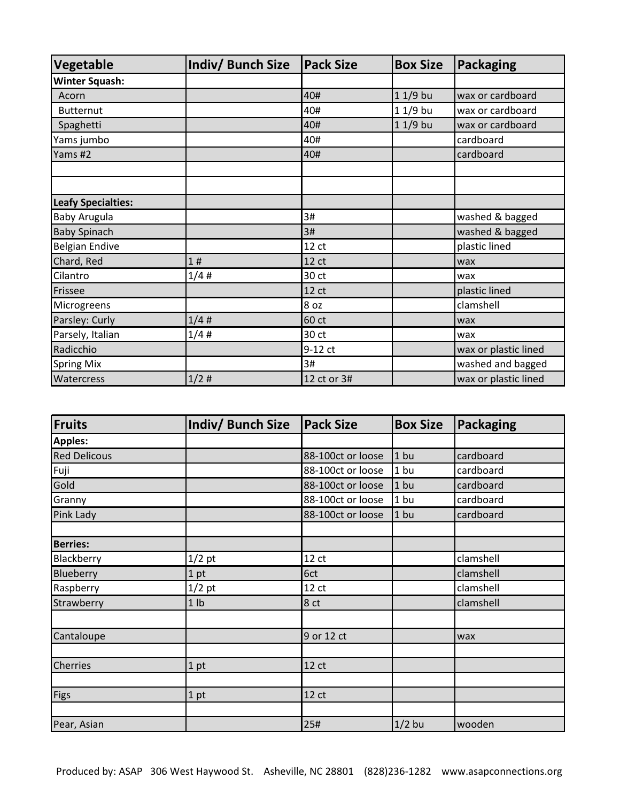| Vegetable                 | <b>Indiv/ Bunch Size</b> | <b>Pack Size</b> | <b>Box Size</b> | <b>Packaging</b>     |
|---------------------------|--------------------------|------------------|-----------------|----------------------|
| <b>Winter Squash:</b>     |                          |                  |                 |                      |
| Acorn                     |                          | 40#              | $11/9$ bu       | wax or cardboard     |
| <b>Butternut</b>          |                          | 40#              | 1 1/9 bu        | wax or cardboard     |
| Spaghetti                 |                          | 40#              | 1 1/9 bu        | wax or cardboard     |
| Yams jumbo                |                          | 40#              |                 | cardboard            |
| Yams #2                   |                          | 40#              |                 | cardboard            |
|                           |                          |                  |                 |                      |
|                           |                          |                  |                 |                      |
| <b>Leafy Specialties:</b> |                          |                  |                 |                      |
| <b>Baby Arugula</b>       |                          | 3#               |                 | washed & bagged      |
| <b>Baby Spinach</b>       |                          | 3#               |                 | washed & bagged      |
| <b>Belgian Endive</b>     |                          | 12 <sub>ct</sub> |                 | plastic lined        |
| Chard, Red                | 1#                       | 12 ct            |                 | wax                  |
| Cilantro                  | 1/4#                     | 30 ct            |                 | wax                  |
| Frissee                   |                          | 12 <sub>ct</sub> |                 | plastic lined        |
| Microgreens               |                          | 8 oz             |                 | clamshell            |
| Parsley: Curly            | 1/4#                     | 60 ct            |                 | wax                  |
| Parsely, Italian          | 1/4#                     | 30 ct            |                 | wax                  |
| Radicchio                 |                          | 9-12 ct          |                 | wax or plastic lined |
| <b>Spring Mix</b>         |                          | 3#               |                 | washed and bagged    |
| Watercress                | 1/2#                     | 12 ct or 3#      |                 | wax or plastic lined |

| <b>Fruits</b>       | <b>Indiv/ Bunch Size</b> | <b>Pack Size</b>  | <b>Box Size</b> | Packaging |
|---------------------|--------------------------|-------------------|-----------------|-----------|
| <b>Apples:</b>      |                          |                   |                 |           |
| <b>Red Delicous</b> |                          | 88-100ct or loose | $1$ bu          | cardboard |
| Fuji                |                          | 88-100ct or loose | 1 <sub>bu</sub> | cardboard |
| Gold                |                          | 88-100ct or loose | $1$ bu          | cardboard |
| Granny              |                          | 88-100ct or loose | $1$ bu          | cardboard |
| Pink Lady           |                          | 88-100ct or loose | $1$ bu          | cardboard |
|                     |                          |                   |                 |           |
| <b>Berries:</b>     |                          |                   |                 |           |
| Blackberry          | $1/2$ pt                 | 12 <sub>ct</sub>  |                 | clamshell |
| Blueberry           | 1 pt                     | 6ct               |                 | clamshell |
| Raspberry           | $1/2$ pt                 | 12 <sub>ct</sub>  |                 | clamshell |
| Strawberry          | 1 <sub>lb</sub>          | 8 ct              |                 | clamshell |
|                     |                          |                   |                 |           |
| Cantaloupe          |                          | 9 or 12 ct        |                 | wax       |
|                     |                          |                   |                 |           |
| <b>Cherries</b>     | 1 pt                     | 12 <sub>ct</sub>  |                 |           |
|                     |                          |                   |                 |           |
| Figs                | $1$ pt                   | 12 <sub>ct</sub>  |                 |           |
|                     |                          |                   |                 |           |
| Pear, Asian         |                          | 25#               | $1/2$ bu        | wooden    |